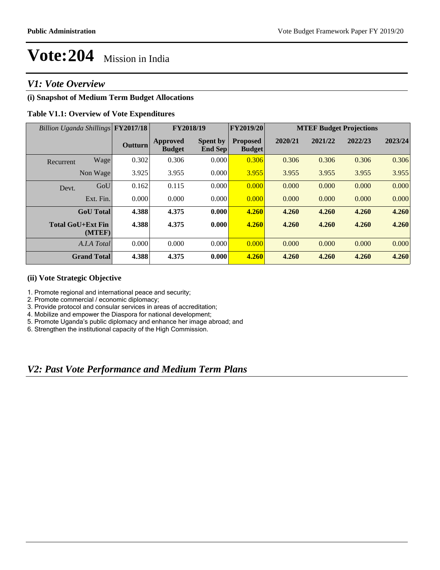### *V1: Vote Overview*

### **(i) Snapshot of Medium Term Budget Allocations**

### **Table V1.1: Overview of Vote Expenditures**

| Billion Uganda Shillings FY2017/18 |               |                                  | FY2018/19                  | FY2019/20                        | <b>MTEF Budget Projections</b> |         |         |         |
|------------------------------------|---------------|----------------------------------|----------------------------|----------------------------------|--------------------------------|---------|---------|---------|
|                                    | Outturn       | <b>Approved</b><br><b>Budget</b> | <b>Spent by</b><br>End Sep | <b>Proposed</b><br><b>Budget</b> | 2020/21                        | 2021/22 | 2022/23 | 2023/24 |
| Recurrent                          | Wage<br>0.302 | 0.306                            | 0.000                      | 0.306                            | 0.306                          | 0.306   | 0.306   | 0.306   |
| Non Wage                           | 3.925         | 3.955                            | 0.000                      | 3.955                            | 3.955                          | 3.955   | 3.955   | 3.955   |
| Devt.                              | GoU<br>0.162  | 0.115                            | 0.000                      | 0.000                            | 0.000                          | 0.000   | 0.000   | 0.000   |
| Ext. Fin.                          | 0.000         | 0.000                            | 0.000                      | 0.000                            | 0.000                          | 0.000   | 0.000   | 0.000   |
| <b>GoU</b> Total                   | 4.388         | 4.375                            | 0.000                      | 4.260                            | 4.260                          | 4.260   | 4.260   | 4.260   |
| <b>Total GoU+Ext Fin</b><br>(MTEF) | 4.388         | 4.375                            | 0.000                      | 4.260                            | 4.260                          | 4.260   | 4.260   | 4.260   |
| A.I.A Total                        | 0.000         | 0.000                            | 0.000                      | 0.000                            | 0.000                          | 0.000   | 0.000   | 0.000   |
| <b>Grand Total</b>                 | 4.388         | 4.375                            | 0.000                      | 4.260                            | 4.260                          | 4.260   | 4.260   | 4.260   |

### **(ii) Vote Strategic Objective**

- 1. Promote regional and international peace and security;
- 2. Promote commercial / economic diplomacy;
- 3. Provide protocol and consular services in areas of accreditation;
- 4. Mobilize and empower the Diaspora for national development;
- 5. Promote Uganda's public diplomacy and enhance her image abroad; and
- 6. Strengthen the institutional capacity of the High Commission.

### *V2: Past Vote Performance and Medium Term Plans*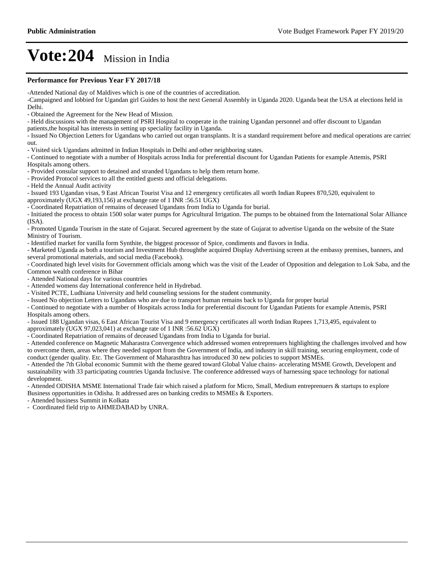#### **Performance for Previous Year FY 2017/18**

-Attended National day of Maldives which is one of the countries of accreditation.

-Campaigned and lobbied for Ugandan girl Guides to host the next General Assembly in Uganda 2020. Uganda beat the USA at elections held in Delhi.

- Obtained the Agreement for the New Head of Mission.

- Held discussions with the management of PSRI Hospital to cooperate in the training Ugandan personnel and offer discount to Ugandan

patients,the hospital has interests in setting up speciality facility in Uganda.

- Issued No Objection Letters for Ugandans who carried out organ transplants. It is a standard requirement before and medical operations are carried out.

- Visited sick Ugandans admitted in Indian Hospitals in Delhi and other neighboring states.

- Continued to negotiate with a number of Hospitals across India for preferential discount for Ugandan Patients for example Attemis, PSRI Hospitals among others.

- Provided consular support to detained and stranded Ugandans to help them return home.

- Provided Protocol services to all the entitled guests and official delegations.

- Held the Annual Audit activity

- Issued 193 Ugandan visas, 9 East African Tourist Visa and 12 emergency certificates all worth Indian Rupees 870,520, equivalent to approximately (UGX 49,193,156) at exchange rate of 1 INR :56.51 UGX)

- Coordinated Repatriation of remains of deceased Ugandans from India to Uganda for burial.

- Initiated the process to obtain 1500 solar water pumps for Agricultural Irrigation. The pumps to be obtained from the International Solar Alliance (ISA).

- Promoted Uganda Tourism in the state of Gujarat. Secured agreement by the state of Gujarat to advertise Uganda on the website of the State Ministry of Tourism.

- Identified market for vanilla form Synthite, the biggest processor of Spice, condiments and flavors in India.

- Marketed Uganda as both a tourism and Investment Hub throughthe acquired Display Advertising screen at the embassy premises, banners, and several promotional materials, and social media (Facebook).

- Coordinated high level visits for Government officials among which was the visit of the Leader of Opposition and delegation to Lok Saba, and the Common wealth conference in Bihar

- Attended National days for various countries

- Attended womens day International conference held in Hydrebad.

- Visited PCTE, Ludhiana University and held counseling sessions for the student community.

- Issued No objection Letters to Ugandans who are due to transport human remains back to Uganda for proper burial

- Continued to negotiate with a number of Hospitals across India for preferential discount for Ugandan Patients for example Attemis, PSRI Hospitals among others.

- Issued 188 Ugandan visas, 6 East African Tourist Visa and 9 emergency certificates all worth Indian Rupees 1,713,495, equivalent to approximately (UGX 97,023,041) at exchange rate of 1 INR :56.62 UGX)

- Coordinated Repatriation of remains of deceased Ugandans from India to Uganda for burial.

- Attended conference on Magnetic Maharastra Convergence which addressed women entreprenuers highlighting the challenges involved and how to overcome them, areas where they needed support from the Government of India, and industry in skill training, securing employment, code of conduct (gender quality. Etc. The Government of Maharasthtra has introduced 30 new policies to support MSMEs.

- Attended the 7th Global economic Summit with the theme geared toward Global Value chains- accelerating MSME Growth, Developent and sustainability with 33 participating countries Uganda Inclusive. The conference addressed ways of harnessing space technology for national development.

- Attended ODISHA MSME International Trade fair which raised a platform for Micro, Small, Medium entreprenuers & startups to explore Business opportunities in Odisha. It addressed ares on banking credits to MSMEs & Exporters.

- Attended business Summit in Kolkata

- Coordinated field trip to AHMEDABAD by UNRA.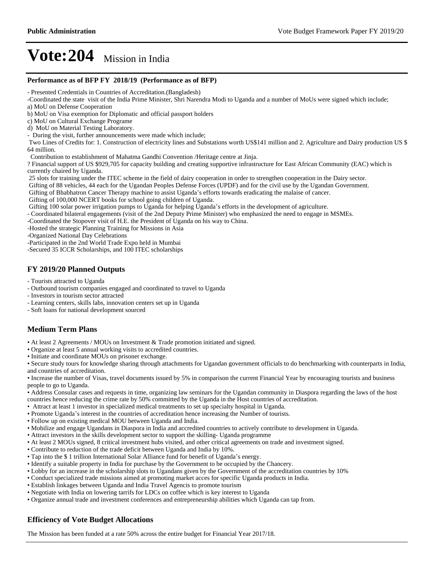#### **Performance as of BFP FY 2018/19 (Performance as of BFP)**

- Presented Credentials in Countries of Accreditation.(Bangladesh)

-Coordinated the state visit of the India Prime Minister, Shri Narendra Modi to Uganda and a number of MoUs were signed which include; a) MoU on Defense Cooperation

c) MoU on Cultural Exchange Programe

d) MoU on Material Testing Laboratory.

- During the visit, further announcements were made which include;

 Two Lines of Credits for: 1. Construction of electricity lines and Substations worth US\$141 million and 2. Agriculture and Dairy production US \$ 64 million.

Contribution to establishment of Mahatma Gandhi Convention /Heritage centre at Jinja.

? Financial support of US \$929,705 for capacity building and creating supportive infrastructure for East African Community (EAC) which is currently chaired by Uganda.

25 slots for training under the ITEC scheme in the field of dairy cooperation in order to strengthen cooperation in the Dairy sector.

Gifting of 88 vehicles, 44 each for the Ugandan Peoples Defense Forces (UPDF) and for the civil use by the Ugandan Government.

Gifting of Bhabhatron Cancer Therapy machine to assist Uganda's efforts towards eradicating the malaise of cancer.

Gifting of 100,000 NCERT books for school going children of Uganda.

Gifting 100 solar power irrigation pumps to Uganda for helping Uganda's efforts in the development of agriculture.

- Coordinated bilateral engagements (visit of the 2nd Deputy Prime Minister) who emphasized the need to engage in MSMEs.

-Coordinated the Stopover visit of H.E. the President of Uganda on his way to China.

-Hosted the strategic Planning Training for Missions in Asia

-Organized National Day Celebrations

-Participated in the 2nd World Trade Expo held in Mumbai

-Secured 35 ICCR Scholarships, and 100 ITEC scholarships

### **FY 2019/20 Planned Outputs**

- Tourists attracted to Uganda
- Outbound tourism companies engaged and coordinated to travel to Uganda
- Investors in tourism sector attracted
- Learning centers, skills labs, innovation centers set up in Uganda
- Soft loans for national development sourced

### **Medium Term Plans**

- At least 2 Agreements / MOUs on Investment & Trade promotion initiated and signed.
- Organize at least 5 annual working visits to accredited countries.
- $\cdot$  Initiate and coordinate MOUs on prisoner exchange.

Secure study tours for knowledge sharing through attachments for Ugandan government officials to do benchmarking with counterparts in India, and countries of accreditation.

• Increase the number of Visas, travel documents issued by 5% in comparison the current Financial Year by encouraging tourists and business people to go to Uganda.

Address Consular cases and requests in time, organizing law seminars for the Ugandan community in Diaspora regarding the laws of the host countries hence reducing the crime rate by 50% committed by the Uganda in the Host countries of accreditation.

- Attract at least 1 investor in specialized medical treatments to set up specialty hospital in Uganda.
- Promote Uganda's interest in the countries of accreditation hence increasing the Number of tourists.
- Follow up on existing medical MOU between Uganda and India.
- Mobilize and engage Ugandans in Diaspora in India and accredited countries to actively contribute to development in Uganda.
- Attract investors in the skills development sector to support the skilling- Uganda programme
- At least 2 MOUs signed, 8 critical investment hubs visited, and other critical agreements on trade and investment signed.
- Contribute to reduction of the trade deficit between Uganda and India by 10%.
- Tap into the \$1 trillion International Solar Alliance fund for benefit of Uganda's energy.
- Identify a suitable property in India for purchase by the Government to be occupied by the Chancery.
- Lobby for an increase in the scholarship slots to Ugandans given by the Government of the accreditation countries by 10%
- Conduct specialized trade missions aimed at promoting market acces for specific Uganda products in India.
- Establish linkages between Uganda and India Travel Agencis to promote tourism
- Negotiate with India on lowering tarrifs for LDCs on coffee which is key interest to Uganda
- Organize annual trade and investment conferences and entrepreneurship abilities which Uganda can tap from.

### **Efficiency of Vote Budget Allocations**

The Mission has been funded at a rate 50% across the entire budget for Financial Year 2017/18.

b) MoU on Visa exemption for Diplomatic and official passport holders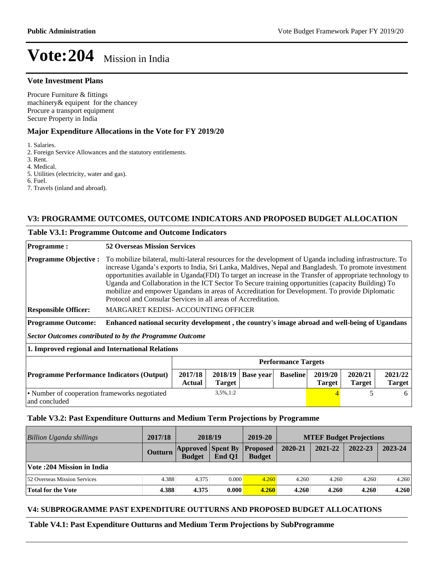#### **Vote Investment Plans**

Procure Furniture & fittings machinery& equipent for the chancey Procure a transport equipment Secure Property in India

### **Major Expenditure Allocations in the Vote for FY 2019/20**

1. Salaries.

2. Foreign Service Allowances and the statutory entitlements.

- 3. Rent.
- 4. Medical.

5. Utilities (electricity, water and gas).

- 6. Fuel.
- 7. Travels (inland and abroad).

### **V3: PROGRAMME OUTCOMES, OUTCOME INDICATORS AND PROPOSED BUDGET ALLOCATION**

#### **Table V3.1: Programme Outcome and Outcome Indicators**

| <b>Programme:</b>                                              | <b>52 Overseas Mission Services</b>                                                                                                                                                                                                                                                                                                                                                                                                                                                                                                                                                                     |                            |                  |                 |                          |                          |                          |
|----------------------------------------------------------------|---------------------------------------------------------------------------------------------------------------------------------------------------------------------------------------------------------------------------------------------------------------------------------------------------------------------------------------------------------------------------------------------------------------------------------------------------------------------------------------------------------------------------------------------------------------------------------------------------------|----------------------------|------------------|-----------------|--------------------------|--------------------------|--------------------------|
| <b>Programme Objective:</b>                                    | To mobilize bilateral, multi-lateral resources for the development of Uganda including infrastructure. To<br>increase Uganda's exports to India, Sri Lanka, Maldives, Nepal and Bangladesh. To promote investment<br>opportunities available in Uganda(FDI) To target an increase in the Transfer of appropriate technology to<br>Uganda and Collaboration in the ICT Sector To Secure training opportunities (capacity Building) To<br>mobilize and empower Ugandans in areas of Accreditation for Development. To provide Diplomatic<br>Protocol and Consular Services in all areas of Accreditation. |                            |                  |                 |                          |                          |                          |
| <b>Responsible Officer:</b>                                    | MARGARET KEDISI- ACCOUNTING OFFICER                                                                                                                                                                                                                                                                                                                                                                                                                                                                                                                                                                     |                            |                  |                 |                          |                          |                          |
| <b>Programme Outcome:</b>                                      | Enhanced national security development, the country's image abroad and well-being of Ugandans                                                                                                                                                                                                                                                                                                                                                                                                                                                                                                           |                            |                  |                 |                          |                          |                          |
| <b>Sector Outcomes contributed to by the Programme Outcome</b> |                                                                                                                                                                                                                                                                                                                                                                                                                                                                                                                                                                                                         |                            |                  |                 |                          |                          |                          |
| 1. Improved regional and International Relations               |                                                                                                                                                                                                                                                                                                                                                                                                                                                                                                                                                                                                         |                            |                  |                 |                          |                          |                          |
|                                                                |                                                                                                                                                                                                                                                                                                                                                                                                                                                                                                                                                                                                         | <b>Performance Targets</b> |                  |                 |                          |                          |                          |
| <b>Programme Performance Indicators (Output)</b>               | 2017/18<br>Actual                                                                                                                                                                                                                                                                                                                                                                                                                                                                                                                                                                                       | 2018/19<br><b>Target</b>   | <b>Base year</b> | <b>Baseline</b> | 2019/20<br><b>Target</b> | 2020/21<br><b>Target</b> | 2021/22<br><b>Target</b> |
| • Number of cooperation frameworks negotiated<br>and concluded |                                                                                                                                                                                                                                                                                                                                                                                                                                                                                                                                                                                                         | 3,5%,1:2                   |                  |                 |                          | 5                        | 6                        |

**Table V3.2: Past Expenditure Outturns and Medium Term Projections by Programme**

| Billion Uganda shillings     | 2017/18        | 2018/19       |                                             | 2019-20       | <b>MTEF Budget Projections</b> |         |         |         |
|------------------------------|----------------|---------------|---------------------------------------------|---------------|--------------------------------|---------|---------|---------|
|                              | <b>Outturn</b> | <b>Budget</b> | <b>Approved Spent By Proposed</b><br>End O1 | <b>Budget</b> | 2020-21                        | 2021-22 | 2022-23 | 2023-24 |
| Vote: 204 Mission in India   |                |               |                                             |               |                                |         |         |         |
| 52 Overseas Mission Services | 4.388          | 4.375         | 0.000                                       | 4.260         | 4.260                          | 4.260   | 4.260   | 4.260   |
| <b>Total for the Vote</b>    | 4.388          | 4.375         | 0.000                                       | 4.260         | 4.260                          | 4.260   | 4.260   | 4.260   |

### **V4: SUBPROGRAMME PAST EXPENDITURE OUTTURNS AND PROPOSED BUDGET ALLOCATIONS**

### **Table V4.1: Past Expenditure Outturns and Medium Term Projections by SubProgramme**